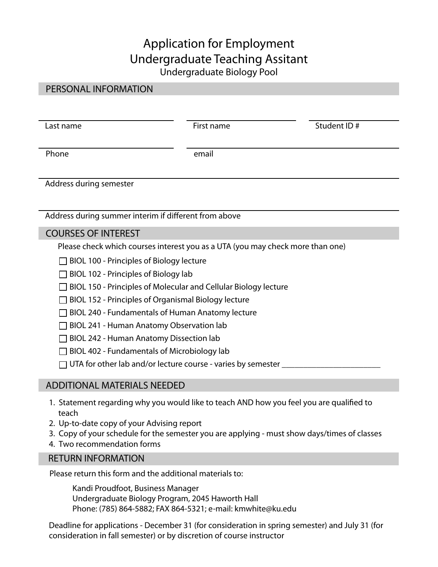## Application for Employment Undergraduate Teaching Assitant Undergraduate Biology Pool

## PERSONAL INFORMATION

| Last name               | First name | Student ID# |
|-------------------------|------------|-------------|
| Phone                   | email      |             |
| Address during semester |            |             |
|                         |            |             |

## COURSES OF INTEREST

Please check which courses interest you as a UTA (you may check more than one)

 $\Box$  BIOL 100 - Principles of Biology lecture

Address during summer interim if diferent from above

- $\Box$  BIOL 102 Principles of Biology lab
- □ BIOL 150 Principles of Molecular and Cellular Biology lecture
- $\Box$  BIOL 152 Principles of Organismal Biology lecture
- $\Box$  BIOL 240 Fundamentals of Human Anatomy lecture
- □ BIOL 241 Human Anatomy Observation lab
- □ BIOL 242 Human Anatomy Dissection lab
- $\Box$  BIOL 402 Fundamentals of Microbiology lab
- $\Box$  UTA for other lab and/or lecture course varies by semester

## ADDITIONAL MATERIALS NEEDED

- 1. Statement regarding why you would like to teach AND how you feel you are qualifed to teach
- 2. Up-to-date copy of your Advising report
- 3. Copy of your schedule for the semester you are applying must show days/times of classes
- 4. Two recommendation forms

#### RETURN INFORMATION

Please return this form and the additional materials to:

Kandi Proudfoot, Business Manager Undergraduate Biology Program, 2045 Haworth Hall Phone: (785) 864-5882; FAX 864-5321; e-mail: [kmwhite@ku.edu](mailto:kmwhite@ku.edu) 

Deadline for applications - December 31 (for consideration in spring semester) and July 31 (for consideration in fall semester) or by discretion of course instructor